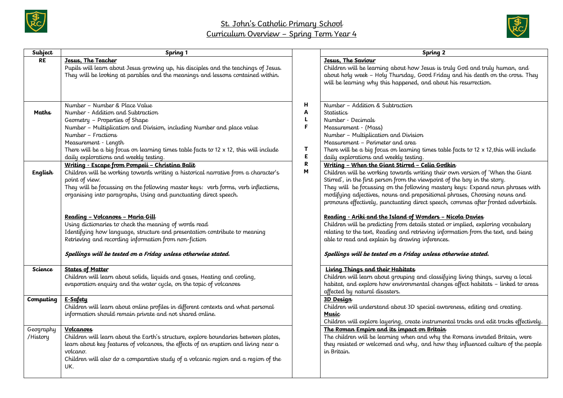



| Subject               | Spring 1                                                                                                                                                                                                                                                                                                                                                                                                                                                                                                                 |                                      | Spring 2                                                                                                                                                                                                                                                                                                                                                                                                                                                                                                                                                                                                                                                                                |
|-----------------------|--------------------------------------------------------------------------------------------------------------------------------------------------------------------------------------------------------------------------------------------------------------------------------------------------------------------------------------------------------------------------------------------------------------------------------------------------------------------------------------------------------------------------|--------------------------------------|-----------------------------------------------------------------------------------------------------------------------------------------------------------------------------------------------------------------------------------------------------------------------------------------------------------------------------------------------------------------------------------------------------------------------------------------------------------------------------------------------------------------------------------------------------------------------------------------------------------------------------------------------------------------------------------------|
| <b>RE</b>             | Jesus. The Teacher<br>Pupils will learn about Jesus growing up, his disciples and the teachings of Jesus.<br>They will be looking at parables and the meanings and lessons contained within.                                                                                                                                                                                                                                                                                                                             |                                      | Jesus, The Saviour<br>Children will be learning about how Jesus is truly God and truly human, and<br>about holy week - Holy Thursday, Good Friday and his death on the cross. They<br>will be learning why this happened, and about his resurrection.                                                                                                                                                                                                                                                                                                                                                                                                                                   |
| Maths<br>English      | Number - Number & Place Value<br>Number - Addition and Subtraction<br>Geometry - Properties of Shape<br>Number - Multiplication and Division, including Number and place value<br>Number – Fractions<br>Measurement - Length<br>There will be a big focus on learning times table facts to $12 \times 12$ , this will include<br>daily explorations and weekly testing.<br><u> Writing - Escape from Pompeii - Christina Balit</u><br>Children will be working towards writing a historical narrative from a character's | н<br>Α<br>L<br>F<br>т<br>E<br>R<br>M | Number - Addition & Subtraction<br><b>Statistics</b><br>Number - Decimals<br>Measurement - (Mass)<br>Number - Multiplication and Division<br>Measurement - Perimeter and area<br>There will be a big focus on learning times table facts to 12 x 12, this will include<br>daily explorations and weekly testing.<br>Writing - When the Giant Stirred - Celia Godkin<br>Children will be working towards writing their own version of 'When the Giant                                                                                                                                                                                                                                    |
|                       | point of view.<br>They will be focussing on the following master keys: verb forms, verb inflections,<br>organising into paragraphs, Using and punctuating direct speech.<br>Reading - Volcanoes - Maria Gill<br>Using dictionaries to check the meaning of words read<br>Identifying how language, structure and presentation contribute to meaning<br>Retrieving and recording information from non-fiction<br>Spellings will be tested on a Friday unless otherwise stated.                                            |                                      | Stirred', in the first person from the viewpoint of the boy in the story.<br>They will be focussing on the following mastery keys: Expand noun phrases with<br>modifying adjectives, nouns and prepositional phrases, Choosing nouns and<br>pronouns effectively, punctuating direct speech, commas after fronted adverbials.<br>Reading - Ariki and the Island of Wonders - Nicola Davies<br>Children will be predicting from details stated or implied, exploring vocabulary<br>relating to the text, Reading and retrieving information from the text, and being<br>able to read and explain by drawing inferences.<br>Spellings will be tested on a Friday unless otherwise stated. |
| Science               | <b>States of Matter</b><br>Children will learn about solids, liquids and gases, Heating and cooling,<br>evaporation enquiry and the water cycle, on the topic of volcanoes                                                                                                                                                                                                                                                                                                                                               |                                      | Living Things and their Habitats<br>Children will learn about grouping and classifying living things, survey a local<br>habitat, and explore how environmental changes affect habitats - linked to areas<br>affected by natural disasters.                                                                                                                                                                                                                                                                                                                                                                                                                                              |
| Computing             | E-Safety<br>Children will learn about online profiles in different contexts and what personal<br>information should remain private and not shared online.                                                                                                                                                                                                                                                                                                                                                                |                                      | 3D Design<br>Children will understand about 3D special awareness, editing and creating.<br><b>Music</b><br>Children will explore layering, create instrumental tracks and edit tracks effectively.                                                                                                                                                                                                                                                                                                                                                                                                                                                                                      |
| Geography<br>/History | <b>Volcanoes</b><br>Children will learn about the Earth's structure, explore boundaries between plates,<br>learn about key features of volcanoes, the effects of an eruption and living near a<br>volcano.<br>Children will also do a comparative study of a volcanic region and a region of the<br>UK.                                                                                                                                                                                                                  |                                      | The Roman Empire and its impact on Britain<br>The children will be learning when and why the Romans invaded Britain, were<br>they resisted or welcomed and why, and how they influenced culture of the people<br>in Britain.                                                                                                                                                                                                                                                                                                                                                                                                                                                            |